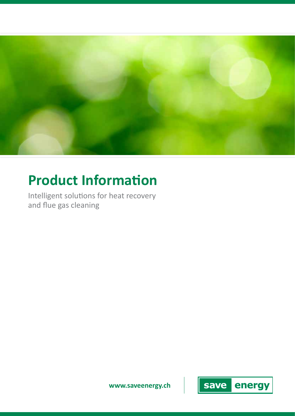

# **Product Information**

Intelligent solutions for heat recovery and flue gas cleaning

**www.saveenergy.ch**

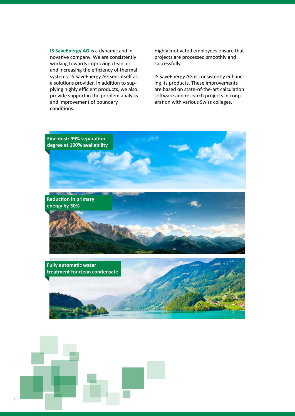**IS SaveEnergy AG** is a dynamic and innovative company. We are consistently working towards improving clean air and increasing the efficiency of thermal systems. IS SaveEnergy AG sees itself as a solutions provider. In addition to supplying highly efficient products, we also provide support in the problem analysis and improvement of boundary conditions.

Highly motivated employees ensure that projects are processed smoothly and successfully.

IS SaveEnergy AG is consistently enhancing its products. These improvements are based on state-of-the-art calculation software and research projects in cooperation with various Swiss colleges.



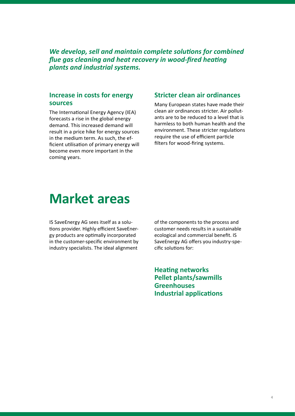*We develop, sell and maintain complete solutions for combined flue gas cleaning and heat recovery in wood-fired heating plants and industrial systems.*

### **Increase in costs for energy sources**

The International Energy Agency (IEA) forecasts a rise in the global energy demand. This increased demand will result in a price hike for energy sources in the medium term. As such, the efficient utilisation of primary energy will become even more important in the coming years.

### **Stricter clean air ordinances**

Many European states have made their clean air ordinances stricter. Air pollutants are to be reduced to a level that is harmless to both human health and the environment. These stricter regulations require the use of efficient particle filters for wood-firing systems.

## **Market areas**

IS SaveEnergy AG sees itself as a solutions provider. Highly efficient SaveEnergy products are optimally incorporated in the customer-specific environment by industry specialists. The ideal alignment

of the components to the process and customer needs results in a sustainable ecological and commercial benefit. IS SaveEnergy AG offers you industry-specific solutions for:

**Heating networks Pellet plants/sawmills Greenhouses Industrial applications**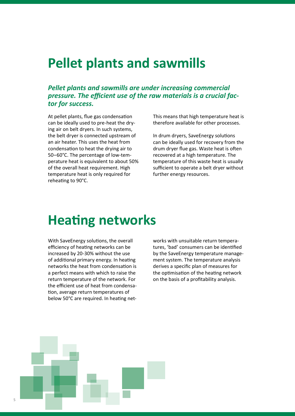## **Pellet plants and sawmills**

### *Pellet plants and sawmills are under increasing commercial pressure. The efficient use of the raw materials is a crucial factor for success.*

At pellet plants, flue gas condensation can be ideally used to pre-heat the drying air on belt dryers. In such systems, the belt dryer is connected upstream of an air heater. This uses the heat from condensation to heat the drying air to 50–60°C. The percentage of low-temperature heat is equivalent to about 50% of the overall heat requirement. High temperature heat is only required for reheating to 90°C.

This means that high temperature heat is therefore available for other processes.

In drum dryers, SaveEnergy solutions can be ideally used for recovery from the drum dryer flue gas. Waste heat is often recovered at a high temperature. The temperature of this waste heat is usually sufficient to operate a belt dryer without further energy resources.

## **Heating networks**

With SaveEnergy solutions, the overall efficiency of heating networks can be increased by 20-30% without the use of additional primary energy. In heating networks the heat from condensation is a perfect means with which to raise the return temperature of the network. For the efficient use of heat from condensation, average return temperatures of below 50°C are required. In heating networks with unsuitable return temperatures, 'bad' consumers can be identified by the SaveEnergy temperature management system. The temperature analysis derives a specific plan of measures for the optimisation of the heating network on the basis of a profitability analysis.

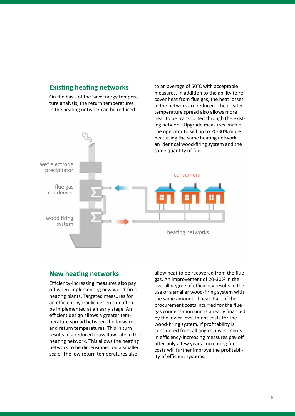### **Existing heating networks**

On the basis of the SaveEnergy temperature analysis, the return temperatures in the heating network can be reduced



#### **New heating networks**

Efficiency-increasing measures also pay off when implementing new wood-fired heating plants. Targeted measures for an efficient hydraulic design can often be implemented at an early stage. An efficient design allows a greater temperature spread between the forward and return temperatures. This in turn results in a reduced mass flow rate in the heating network. This allows the heating network to be dimensioned on a smaller scale. The low return temperatures also

allow heat to be recovered from the flue gas. An improvement of 20-30% in the overall degree of efficiency results in the use of a smaller wood-firing system with the same amount of heat. Part of the procurement costs incurred for the flue gas condensation unit is already financed by the lower investment costs for the wood-firing system. If profitability is considered from all angles, investments in efficiency-increasing measures pay off after only a few years. Increasing fuel costs will further improve the profitability of efficient systems.

to an average of 50°C with acceptable measures. In addition to the ability to recover heat from flue gas, the heat losses in the network are reduced. The greater temperature spread also allows more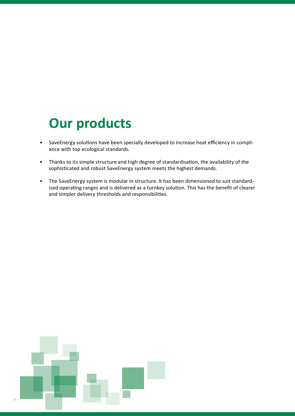# **Our products**

- SaveEnergy solutions have been specially developed to increase heat efficiency in compliance with top ecological standards.
- Thanks to its simple structure and high degree of standardisation, the availability of the sophisticated and robust SaveEnergy system meets the highest demands.
- The SaveEnergy system is modular in structure. It has been dimensioned to suit standardised operating ranges and is delivered as a turnkey solution. This has the benefit of clearer and simpler delivery thresholds and responsibilities.

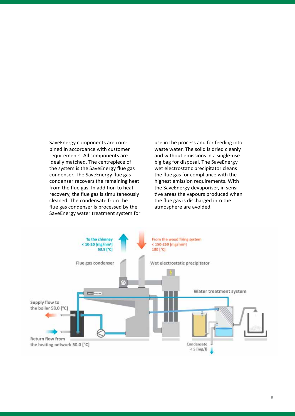SaveEnergy components are combined in accordance with customer requirements. All components are ideally matched. The centrepiece of the system is the SaveEnergy flue gas condenser. The SaveEnergy flue gas condenser recovers the remaining heat from the flue gas. In addition to heat recovery, the flue gas is simultaneously cleaned. The condensate from the flue gas condenser is processed by the SaveEnergy water treatment system for use in the process and for feeding into waste water. The solid is dried cleanly and without emissions in a single-use big bag for disposal. The SaveEnergy wet electrostatic precipitator cleans the flue gas for compliance with the highest emission requirements. With the SaveEnergy devaporiser, in sensitive areas the vapours produced when the flue gas is discharged into the atmosphere are avoided.

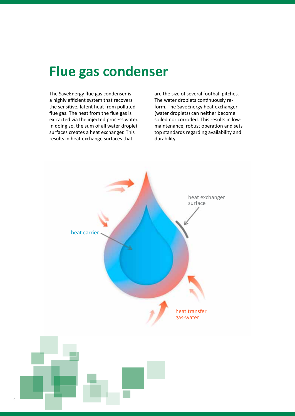# **Flue gas condenser**

The SaveEnergy flue gas condenser is a highly efficient system that recovers the sensitive, latent heat from polluted flue gas. The heat from the flue gas is extracted via the injected process water. In doing so, the sum of all water droplet surfaces creates a heat exchanger. This results in heat exchange surfaces that

are the size of several football pitches. The water droplets continuously reform. The SaveEnergy heat exchanger (water droplets) can neither become soiled nor corroded. This results in lowmaintenance, robust operation and sets top standards regarding availability and durability.

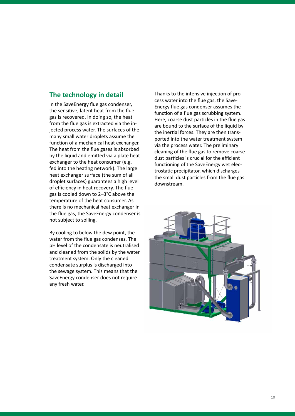## **The technology in detail**

In the SaveEnergy flue gas condenser, the sensitive, latent heat from the flue gas is recovered. In doing so, the heat from the flue gas is extracted via the injected process water. The surfaces of the many small water droplets assume the function of a mechanical heat exchanger. The heat from the flue gases is absorbed by the liquid and emitted via a plate heat exchanger to the heat consumer (e.g. fed into the heating network). The large heat exchanger surface (the sum of all droplet surfaces) guarantees a high level of efficiency in heat recovery. The flue gas is cooled down to 2–3°C above the temperature of the heat consumer. As there is no mechanical heat exchanger in the flue gas, the SaveEnergy condenser is not subject to soiling.

By cooling to below the dew point, the water from the flue gas condenses. The pH level of the condensate is neutralised and cleaned from the solids by the water treatment system. Only the cleaned condensate surplus is discharged into the sewage system. This means that the SaveEnergy condenser does not require any fresh water.

Thanks to the intensive injection of process water into the flue gas, the Save-Energy flue gas condenser assumes the function of a flue gas scrubbing system. Here, coarse dust particles in the flue gas are bound to the surface of the liquid by the inertial forces. They are then transported into the water treatment system via the process water. The preliminary cleaning of the flue gas to remove coarse dust particles is crucial for the efficient functioning of the SaveEnergy wet electrostatic precipitator, which discharges the small dust particles from the flue gas downstream.

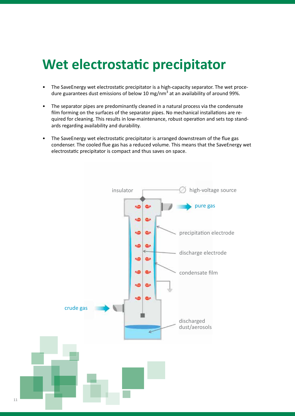# **Wet electrostatic precipitator**

- The SaveEnergy wet electrostatic precipitator is a high-capacity separator. The wet procedure guarantees dust emissions of below 10 mg/nm<sup>3</sup> at an availability of around 99%.
- The separator pipes are predominantly cleaned in a natural process via the condensate film forming on the surfaces of the separator pipes. No mechanical installations are required for cleaning. This results in low-maintenance, robust operation and sets top standards regarding availability and durability.
- The SaveEnergy wet electrostatic precipitator is arranged downstream of the flue gas condenser. The cooled flue gas has a reduced volume. This means that the SaveEnergy wet electrostatic precipitator is compact and thus saves on space.

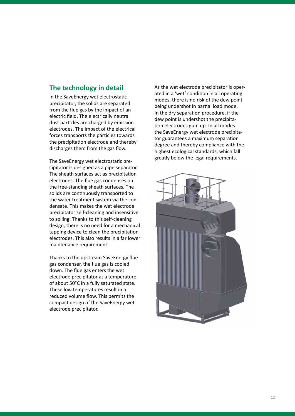## **The technology in detail**

In the SaveEnergy wet electrostatic precipitator, the solids are separated from the flue gas by the impact of an electric field. The electrically neutral dust particles are charged by emission electrodes. The impact of the electrical forces transports the particles towards the precipitation electrode and thereby discharges them from the gas flow.

The SaveEnergy wet electrostatic precipitator is designed as a pipe separator. The sheath surfaces act as precipitation electrodes. The flue gas condenses on the free-standing sheath surfaces. The solids are continuously transported to the water treatment system via the condensate. This makes the wet electrode precipitator self-cleaning and insensitive to soiling. Thanks to this self-cleaning design, there is no need for a mechanical tapping device to clean the precipitation electrodes. This also results in a far lower maintenance requirement.

Thanks to the upstream SaveEnergy flue gas condenser, the flue gas is cooled down. The flue gas enters the wet electrode precipitator at a temperature of about 50°C in a fully saturated state. These low temperatures result in a reduced volume flow. This permits the compact design of the SaveEnergy wet electrode precipitator.

As the wet electrode precipitator is operated in a 'wet' condition in all operating modes, there is no risk of the dew point being undershot in partial load mode. In the dry separation procedure, if the dew point is undershot the precipitation electrodes gum up. In all modes the SaveEnergy wet electrode precipitator guarantees a maximum separation degree and thereby compliance with the highest ecological standards, which fall greatly below the legal requirements.

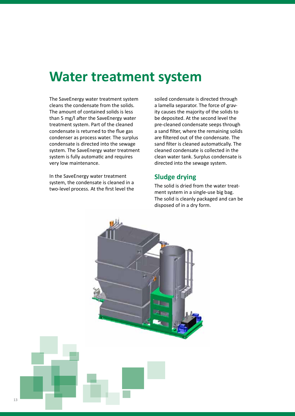## **Water treatment system**

The SaveEnergy water treatment system cleans the condensate from the solids. The amount of contained solids is less than 5 mg/l after the SaveEnergy water treatment system. Part of the cleaned condensate is returned to the flue gas condenser as process water. The surplus condensate is directed into the sewage system. The SaveEnergy water treatment system is fully automatic and requires very low maintenance.

In the SaveEnergy water treatment system, the condensate is cleaned in a two-level process. At the first level the

soiled condensate is directed through a lamella separator. The force of gravity causes the majority of the solids to be deposited. At the second level the pre-cleaned condensate seeps through a sand filter, where the remaining solids are filtered out of the condensate. The sand filter is cleaned automatically. The cleaned condensate is collected in the clean water tank. Surplus condensate is directed into the sewage system.

### **Sludge drying**

The solid is dried from the water treatment system in a single-use big bag. The solid is cleanly packaged and can be disposed of in a dry form.

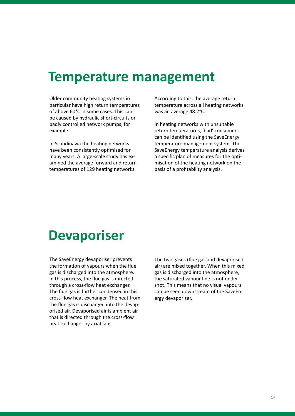## **Temperature management**

Older community heating systems in particular have high return temperatures of above 60°C in some cases. This can be caused by hydraulic short-circuits or badly controlled network pumps, for example.

In Scandinavia the heating networks have been consistently optimised for many years. A large-scale study has examined the average forward and return temperatures of 129 heating networks.

According to this, the average return temperature across all heating networks was an average 48.2°C.

In heating networks with unsuitable return temperatures, 'bad' consumers can be identified using the SaveEnergy temperature management system. The SaveEnergy temperature analysis derives a specific plan of measures for the optimisation of the heating network on the basis of a profitability analysis.

# **Devaporiser**

The SaveEnergy devaporiser prevents the formation of vapours when the flue gas is discharged into the atmosphere. In this process, the flue gas is directed through a cross-flow heat exchanger. The flue gas is further condensed in this cross-flow heat exchanger. The heat from the flue gas is discharged into the devaporised air. Devaporised air is ambient air that is directed through the cross-flow heat exchanger by axial fans.

The two gases (flue gas and devaporised air) are mixed together. When this mixed gas is discharged into the atmosphere, the saturated vapour line is not undershot. This means that no visual vapours can be seen downstream of the SaveEnergy devaporiser.